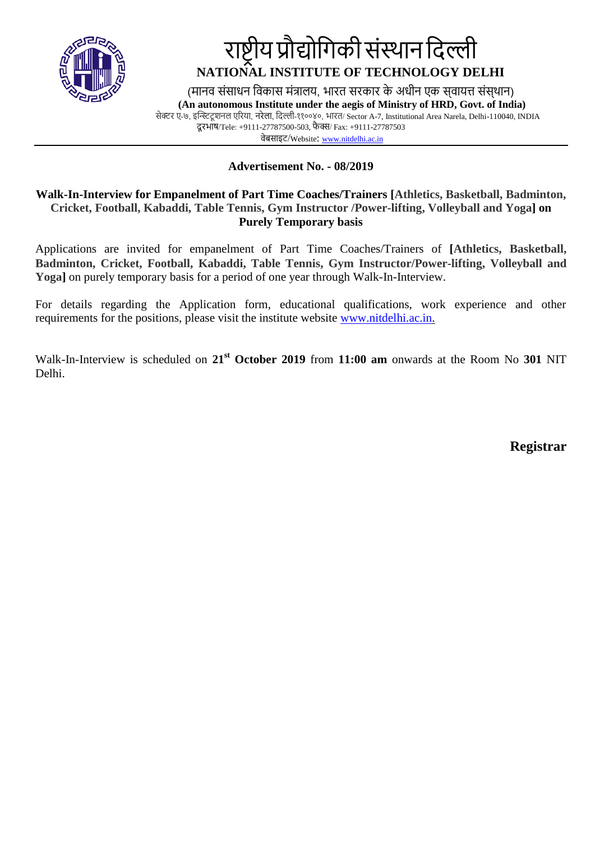

## राष्ट्रीय प्रौद्योगिकी संस्थान दिल्ली **NATIONAL INSTITUTE OF TECHNOLOGY DELHI**

(मानव संसाधन विकास मंत्रालय, भारत सरकार के अधीन एक सवायत्त संसथान) **(An autonomous Institute under the aegis of Ministry of HRD, Govt. of India)** सेक्टर ए-७, इन्स्टिटू शनल एररया, नरेला, गिल्ली-११००४०, भारत/ Sector A-7, Institutional Area Narela, Delhi-110040, INDIA िू रभाष/Tele: +9111-27787500-503, फै क्स/ Fax: +9111-27787503

वेबसाइट/Website: [www.nitdelhi.ac.in](http://www.nitdelhi.ac.in/)

### **Advertisement No. - 08/2019**

### **Walk-In-Interview for Empanelment of Part Time Coaches/Trainers [Athletics, Basketball, Badminton, Cricket, Football, Kabaddi, Table Tennis, Gym Instructor /Power-lifting, Volleyball and Yoga] on Purely Temporary basis**

Applications are invited for empanelment of Part Time Coaches/Trainers of **[Athletics, Basketball, Badminton, Cricket, Football, Kabaddi, Table Tennis, Gym Instructor/Power-lifting, Volleyball and Yoga]** on purely temporary basis for a period of one year through Walk-In-Interview.

For details regarding the Application form, educational qualifications, work experience and other requirements for the positions, please visit the institute website [www.nitdelhi.ac.in.](http://www.nitdelhi.ac.in/)

Walk-In-Interview is scheduled on **21st October 2019** from **11:00 am** onwards at the Room No **301** NIT Delhi.

**Registrar**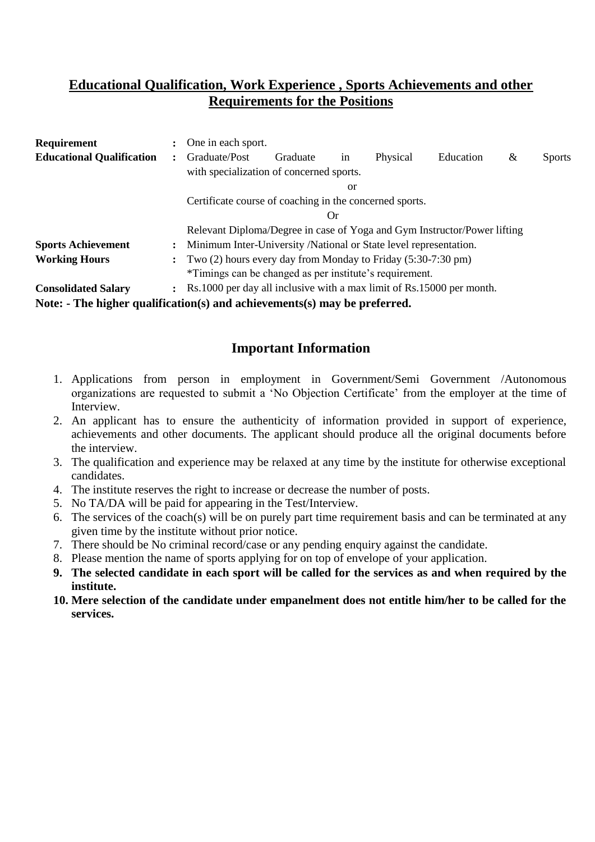## **Educational Qualification, Work Experience , Sports Achievements and other Requirements for the Positions**

| <b>Requirement</b>                                                                               |                                                                           | One in each sport.                                                       |                                                                     |    |          |           |   |               |  |  |
|--------------------------------------------------------------------------------------------------|---------------------------------------------------------------------------|--------------------------------------------------------------------------|---------------------------------------------------------------------|----|----------|-----------|---|---------------|--|--|
| <b>Educational Qualification</b>                                                                 | $\ddot{\cdot}$                                                            | Graduate/Post                                                            | Graduate                                                            | 1n | Physical | Education | & | <b>Sports</b> |  |  |
|                                                                                                  |                                                                           | with specialization of concerned sports.                                 |                                                                     |    |          |           |   |               |  |  |
|                                                                                                  |                                                                           | <sub>or</sub>                                                            |                                                                     |    |          |           |   |               |  |  |
|                                                                                                  |                                                                           | Certificate course of coaching in the concerned sports.                  |                                                                     |    |          |           |   |               |  |  |
|                                                                                                  |                                                                           | Or                                                                       |                                                                     |    |          |           |   |               |  |  |
|                                                                                                  |                                                                           | Relevant Diploma/Degree in case of Yoga and Gym Instructor/Power lifting |                                                                     |    |          |           |   |               |  |  |
| <b>Sports Achievement</b>                                                                        |                                                                           |                                                                          | : Minimum Inter-University /National or State level representation. |    |          |           |   |               |  |  |
| <b>Working Hours</b>                                                                             | $\therefore$ Two (2) hours every day from Monday to Friday (5:30-7:30 pm) |                                                                          |                                                                     |    |          |           |   |               |  |  |
|                                                                                                  |                                                                           | *Timings can be changed as per institute's requirement.                  |                                                                     |    |          |           |   |               |  |  |
| <b>Consolidated Salary</b>                                                                       |                                                                           | : Rs.1000 per day all inclusive with a max limit of Rs.15000 per month.  |                                                                     |    |          |           |   |               |  |  |
| Note: $\overline{\phantom{a}}$ The higher qualification(s) and achievements(s) may be preferred. |                                                                           |                                                                          |                                                                     |    |          |           |   |               |  |  |

## **Important Information**

- 1. Applications from person in employment in Government/Semi Government /Autonomous organizations are requested to submit a 'No Objection Certificate' from the employer at the time of Interview.
- 2. An applicant has to ensure the authenticity of information provided in support of experience, achievements and other documents. The applicant should produce all the original documents before the interview.
- 3. The qualification and experience may be relaxed at any time by the institute for otherwise exceptional candidates.
- 4. The institute reserves the right to increase or decrease the number of posts.
- 5. No TA/DA will be paid for appearing in the Test/Interview.
- 6. The services of the coach(s) will be on purely part time requirement basis and can be terminated at any given time by the institute without prior notice.
- 7. There should be No criminal record/case or any pending enquiry against the candidate.
- 8. Please mention the name of sports applying for on top of envelope of your application.
- **9. The selected candidate in each sport will be called for the services as and when required by the institute.**
- **10. Mere selection of the candidate under empanelment does not entitle him/her to be called for the services.**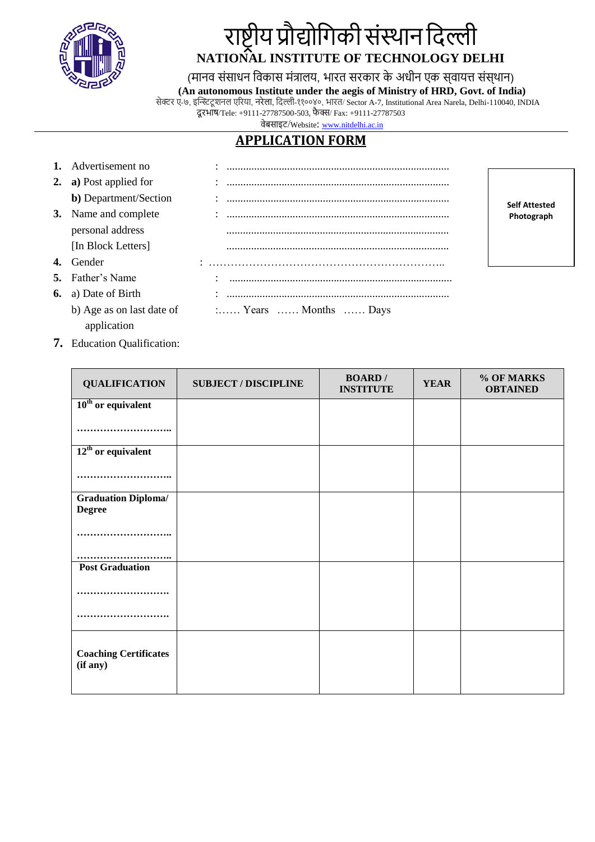

# राष्ट्रीय प्रौद्योगिकी संस्थान दिल्ली **NATIONAL INSTITUTE OF TECHNOLOGY DELHI**

(मानव संसाधन विकास मंत्रालय, भारत सरकार के अधीन एक सवायत्त संस्थान)

**(An autonomous Institute under the aegis of Ministry of HRD, Govt. of India)**

**Self Attested Photograph**

 सेक्टर ए-७, इन्स्टिटू शनल एररया, नरेला, गिल्ली-११००४०, भारत/ Sector A-7, Institutional Area Narela, Delhi-110040, INDIA दूरभाष/Tele: +9111-27787500-503, फैक्स/ Fax: +9111-27787503

वेबसाइट/Website: [www.nitdelhi.ac.in](http://www.nitdelhi.ac.in/)

## **APPLICATION FORM**

| 1. Advertisement no           |                                              |
|-------------------------------|----------------------------------------------|
| <b>2.</b> a) Post applied for |                                              |
| <b>b</b> ) Department/Section |                                              |
| 3. Name and complete          |                                              |
| personal address              |                                              |
| [In Block Letters]            |                                              |
| Gender                        |                                              |
| 5. Father's Name              |                                              |
| <b>6.</b> a) Date of Birth    |                                              |
| b) Age as on last date of     | $\ldots$ Years $\ldots$ Months $\ldots$ Days |
| application                   |                                              |

**7.** Education Qualification:

| <b>QUALIFICATION</b>                        | <b>SUBJECT / DISCIPLINE</b> | <b>BOARD</b> /<br><b>INSTITUTE</b> | <b>YEAR</b> | % OF MARKS<br><b>OBTAINED</b> |
|---------------------------------------------|-----------------------------|------------------------------------|-------------|-------------------------------|
| $10th$ or equivalent                        |                             |                                    |             |                               |
|                                             |                             |                                    |             |                               |
| $12th$ or equivalent                        |                             |                                    |             |                               |
|                                             |                             |                                    |             |                               |
| <b>Graduation Diploma/</b><br><b>Degree</b> |                             |                                    |             |                               |
|                                             |                             |                                    |             |                               |
| <b>Post Graduation</b>                      |                             |                                    |             |                               |
| .                                           |                             |                                    |             |                               |
|                                             |                             |                                    |             |                               |
| <b>Coaching Certificates</b><br>(if any)    |                             |                                    |             |                               |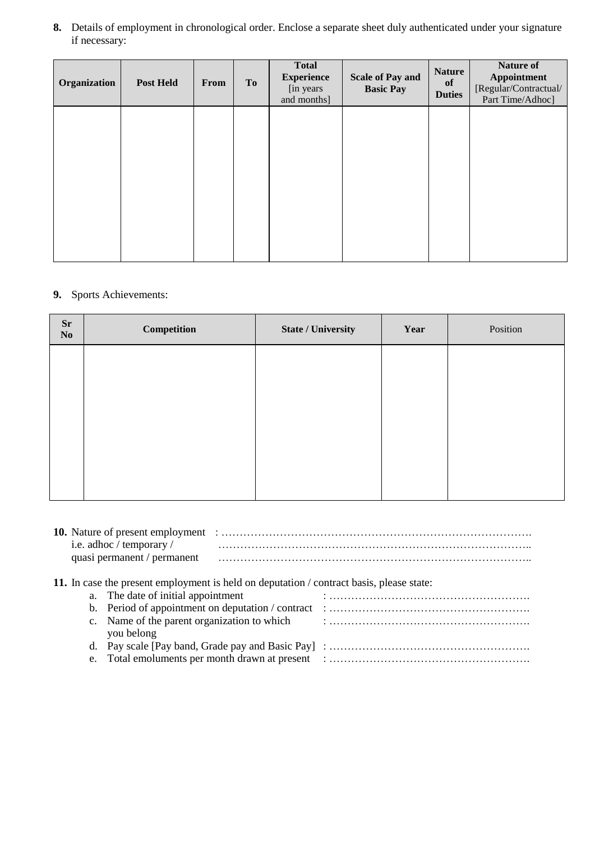**8.** Details of employment in chronological order. Enclose a separate sheet duly authenticated under your signature if necessary:

| Organization | <b>Post Held</b> | From | <b>To</b> | <b>Total</b><br><b>Experience</b><br>[in years]<br>and months] | <b>Scale of Pay and</b><br><b>Basic Pay</b> | <b>Nature</b><br>of<br><b>Duties</b> | Nature of<br>Appointment<br>[Regular/Contractual/<br>Part Time/Adhoc] |
|--------------|------------------|------|-----------|----------------------------------------------------------------|---------------------------------------------|--------------------------------------|-----------------------------------------------------------------------|
|              |                  |      |           |                                                                |                                             |                                      |                                                                       |
|              |                  |      |           |                                                                |                                             |                                      |                                                                       |
|              |                  |      |           |                                                                |                                             |                                      |                                                                       |
|              |                  |      |           |                                                                |                                             |                                      |                                                                       |

### **9.** Sports Achievements:

| Competition | <b>State / University</b> | Year | Position |
|-------------|---------------------------|------|----------|
|             |                           |      |          |
|             |                           |      |          |
|             |                           |      |          |
|             |                           |      |          |
|             |                           |      |          |
|             |                           |      |          |

| <b>10.</b> Nature of present employment |  |
|-----------------------------------------|--|
| i.e. adhoc / temporary /                |  |
| quasi permanent / permanent             |  |

### **11.** In case the present employment is held on deputation / contract basis, please state:

| a. The date of initial appointment |  |
|------------------------------------|--|
|                                    |  |
| you belong                         |  |
|                                    |  |
|                                    |  |